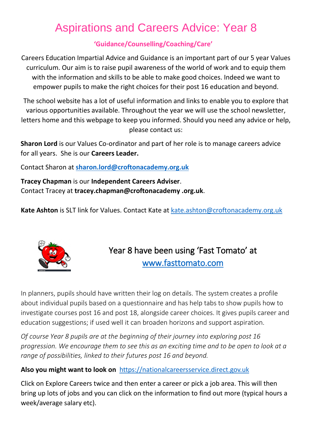## Aspirations and Careers Advice: Year 8

## **'Guidance/Counselling/Coaching/Care'**

Careers Education Impartial Advice and Guidance is an important part of our 5 year Values curriculum. Our aim is to raise pupil awareness of the world of work and to equip them with the information and skills to be able to make good choices. Indeed we want to empower pupils to make the right choices for their post 16 education and beyond.

The school website has a lot of useful information and links to enable you to explore that various opportunities available. Throughout the year we will use the school newsletter, letters home and this webpage to keep you informed. Should you need any advice or help, please contact us:

**Sharon Lord** is our Values Co-ordinator and part of her role is to manage careers advice for all years. She is our **Careers Leader.**

Contact Sharon at **[sharon.lord@croftonacademy.org.uk](mailto:sharon.lord@croftonacademy.org.uk)**

**Tracey Chapman** is our **Independent Careers Adviser**. Contact Tracey at **tracey.chapman@croftonacademy .org.uk**.

**Kate Ashton** is SLT link for Values. Contact Kate at [kate.ashton@croftonacademy.org.uk](mailto:kate.ashton@croftonacademy.org.uk)



Year 8 have been using 'Fast Tomato' at [www.fasttomato.com](http://www.fasttomato.com/) 

In planners, pupils should have written their log on details. The system creates a profile about individual pupils based on a questionnaire and has help tabs to show pupils how to investigate courses post 16 and post 18, alongside career choices. It gives pupils career and education suggestions; if used well it can broaden horizons and support aspiration.

*Of course Year 8 pupils are at the beginning of their journey into exploring post 16 progression. We encourage them to see this as an exciting time and to be open to look at a range of possibilities, linked to their futures post 16 and beyond.* 

## **Also you might want to look on**[https://nationalcareersservice.direct.gov.uk](https://nationalcareersservice.direct.gov.uk/)

Click on Explore Careers twice and then enter a career or pick a job area. This will then bring up lots of jobs and you can click on the information to find out more (typical hours a week/average salary etc).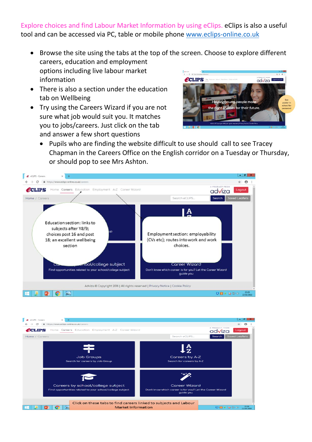Explore choices and find Labour Market Information by using eClips. eClips is also a useful tool and can be accessed via PC, table or mobile phone [www.eclips-online.co.uk](http://www.eclips-online.co.uk/)

- Browse the site using the tabs at the top of the screen. Choose to explore different careers, education and employment options including live labour market  $\begin{array}{|ccc|} \hline \bullet & \circ \circ \circ \\ \leftarrow & \circ & \bullet \end{array}$ information **PCLIPS** advíza
- There is also a section under the education tab on Wellbeing
- Try using the Careers Wizard if you are not sure what job would suit you. It matches you to jobs/careers. Just click on the tab and answer a few short questions



 Pupils who are finding the website difficult to use should call to see Tracey Chapman in the Careers Office on the English corridor on a Tuesday or Thursday, or should pop to see Mrs Ashton.



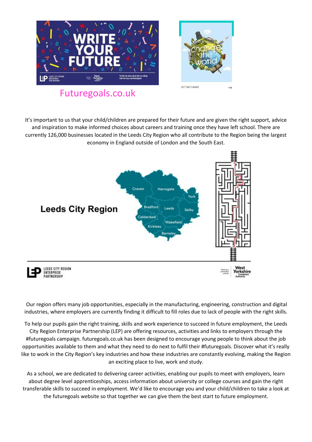

It's important to us that your child/children are prepared for their future and are given the right support, advice and inspiration to make informed choices about careers and training once they have left school. There are currently 126,000 businesses located in the Leeds City Region who all contribute to the Region being the largest economy in England outside of London and the South East.



Our region offers many job opportunities, especially in the manufacturing, engineering, construction and digital industries, where employers are currently finding it difficult to fill roles due to lack of people with the right skills.

To help our pupils gain the right training, skills and work experience to succeed in future employment, the Leeds City Region Enterprise Partnership (LEP) are offering resources, activities and links to employers through the #futuregoals campaign. futuregoals.co.uk has been designed to encourage young people to think about the job opportunities available to them and what they need to do next to fulfil their #futuregoals. Discover what it's really like to work in the City Region's key industries and how these industries are constantly evolving, making the Region an exciting place to live, work and study.

As a school, we are dedicated to delivering career activities, enabling our pupils to meet with employers, learn about degree level apprenticeships, access information about university or college courses and gain the right transferable skills to succeed in employment. We'd like to encourage you and your child/children to take a look at the futuregoals website so that together we can give them the best start to future employment.